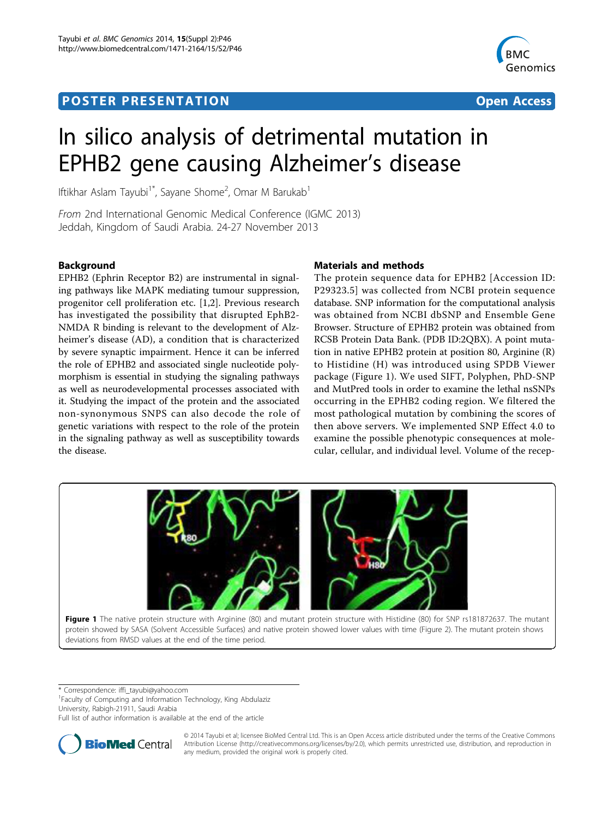# <span id="page-0-0"></span>**POSTER PRESENTATION CONSUMING THE SERVICE SERVICE SERVICES**



# In silico analysis of detrimental mutation in EPHB2 gene causing Alzheimer's disease

Iftikhar Aslam Tayubi<sup>1\*</sup>, Sayane Shome<sup>2</sup>, Omar M Barukab<sup>1</sup>

From 2nd International Genomic Medical Conference (IGMC 2013) Jeddah, Kingdom of Saudi Arabia. 24-27 November 2013

# Background

EPHB2 (Ephrin Receptor B2) are instrumental in signaling pathways like MAPK mediating tumour suppression, progenitor cell proliferation etc. [[1,2\]](#page-1-0). Previous research has investigated the possibility that disrupted EphB2- NMDA R binding is relevant to the development of Alzheimer's disease (AD), a condition that is characterized by severe synaptic impairment. Hence it can be inferred the role of EPHB2 and associated single nucleotide polymorphism is essential in studying the signaling pathways as well as neurodevelopmental processes associated with it. Studying the impact of the protein and the associated non-synonymous SNPS can also decode the role of genetic variations with respect to the role of the protein in the signaling pathway as well as susceptibility towards the disease.

# Materials and methods

The protein sequence data for EPHB2 [Accession ID: P29323.5] was collected from NCBI protein sequence database. SNP information for the computational analysis was obtained from NCBI dbSNP and Ensemble Gene Browser. Structure of EPHB2 protein was obtained from RCSB Protein Data Bank. (PDB ID:2QBX). A point mutation in native EPHB2 protein at position 80, Arginine (R) to Histidine (H) was introduced using SPDB Viewer package (Figure 1). We used SIFT, Polyphen, PhD-SNP and MutPred tools in order to examine the lethal nsSNPs occurring in the EPHB2 coding region. We filtered the most pathological mutation by combining the scores of then above servers. We implemented SNP Effect 4.0 to examine the possible phenotypic consequences at molecular, cellular, and individual level. Volume of the recep-



\* Correspondence: [iffi\\_tayubi@yahoo.com](mailto:iffi_tayubi@yahoo.com)

<sup>1</sup> Faculty of Computing and Information Technology, King Abdulaziz University, Rabigh-21911, Saudi Arabia

Full list of author information is available at the end of the article



© 2014 Tayubi et al; licensee BioMed Central Ltd. This is an Open Access article distributed under the terms of the Creative Commons Attribution License [\(http://creativecommons.org/licenses/by/2.0](http://creativecommons.org/licenses/by/2.0)), which permits unrestricted use, distribution, and reproduction in any medium, provided the original work is properly cited.